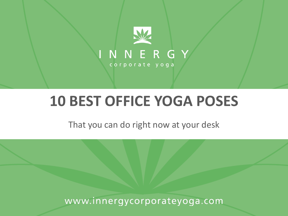

# **10 BEST OFFICE YOGA POSES**

That you can do right now at your desk

www.innergycorporateyoga.com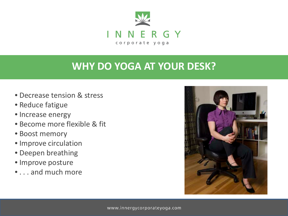

# **WHY DO YOGA AT YOUR DESK?**

- Decrease tension & stress
- Reduce fatigue
- Increase energy
- Become more flexible & fit
- Boost memory
- Improve circulation
- Deepen breathing
- Improve posture
- . . . and much more

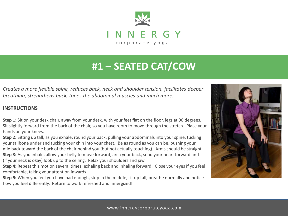

# **#1 – SEATED CAT/COW**

*Creates a more flexible spine, reduces back, neck and shoulder tension, facilitates deeper breathing, strengthens back, tones the abdominal muscles and much more.* 

#### **INSTRUCTIONS**

**Step 1:** Sit on your desk chair, away from your desk, with your feet flat on the floor, legs at 90 degrees. Sit slightly forward from the back of the chair, so you have room to move through the stretch. Place your hands on your knees.

**Step 2:** Sitting up tall, as you exhale, round your back, pulling your abdominals into your spine, tucking your tailbone under and tucking your chin into your chest. Be as round as you can be, pushing your mid back toward the back of the chair behind you (but not actually touching). Arms should be straight. **Step 3:** As you inhale, allow your belly to move forward, arch your back, send your heart forward and (if your neck is okay) look up to the ceiling. Relax your shoulders and jaw.

**Step 4:** Repeat this motion several times, exhaling back and inhaling forward. Close your eyes if you feel comfortable, taking your attention inwards.

**Step 5:** When you feel you have had enough, stop in the middle, sit up tall, breathe normally and notice how you feel differently. Return to work refreshed and innergized!

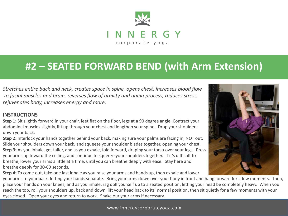

### **#2 – SEATED FORWARD BEND (with Arm Extension)**

*Stretches entire back and neck, creates space in spine, opens chest, increases blood flow to facial muscles and brain, reverses flow of gravity and aging process, reduces stress, rejuvenates body, increases energy and more.*

### **INSTRUCTIONS**

**Step 1:** Sit slightly forward in your chair, feet flat on the floor, legs at a 90 degree angle. Contract your abdominal muscles slightly, lift up through your chest and lengthen your spine. Drop your shoulders down your back.

**Step 2:** Interlock your hands together behind your back, making sure your palms are facing in, NOT out. Slide your shoulders down your back, and squeeze your shoulder blades together, opening your chest. **Step 3:** As you inhale, get taller, and as you exhale, fold forward, draping your torso over your legs. Press your arms up toward the ceiling, and continue to squeeze your shoulders together. If it's difficult to breathe, lower your arms a little at a time, until you can breathe deeply with ease. Stay here and breathe deeply for 30-60 seconds.

**Step 4:** To come out, take one last inhale as you raise your arms and hands up, then exhale and lower



your arms to your back, letting your hands separate. Bring your arms down over your body in front and hang forward for a few moments. Then, place your hands on your knees, and as you inhale, rag doll yourself up to a seated position, letting your head be completely heavy. When you reach the top, roll your shoulders up, back and down, lift your head back to its' normal position, then sit quietly for a few moments with your eyes closed. Open your eyes and return to work. Shake our your arms if necessary.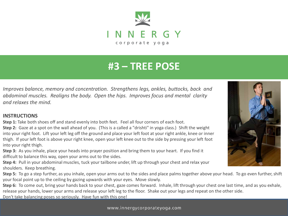

# **#3 – TREE POSE**

*Improves balance, memory and concentration. Strengthens legs, ankles, buttocks, back and abdominal muscles. Realigns the body. Open the hips. Improves focus and mental clarity and relaxes the mind.*

#### **INSTRUCTIONS**

**Step 1:** Take both shoes off and stand evenly into both feet. Feel all four corners of each foot.

**Step 2:** Gaze at a spot on the wall ahead of you. (This is a called a "drishti" in yoga class.) Shift the weight into your right foot. Lift your left leg off the ground and place your left foot at your right ankle, knee or inner thigh. If your left foot is above your right knee, open your left knee out to the side by pressing your left foot into your right thigh.

**Step 3:** As you inhale, place your heads into prayer position and bring them to your heart. If you find it difficult to balance this way, open your arms out to the sides.

**Step 4:** Pull in your abdominal muscles, tuck your tailbone under, lift up through your chest and relax your shoulders. Keep breathing.

**Step 5:** To go a step further, as you inhale, open your arms out to the sides and place palms together above your head. To go even further, shift your focal point up to the ceiling by gazing upwards with your eyes. Move slowly.

**Step 6:** To come out, bring your hands back to your chest, gaze comes forward. Inhale, lift through your chest one last time, and as you exhale, release your hands, lower your arms and release your left leg to the floor. Shake out your legs and repeat on the other side. Don't take balancing poses so seriously. Have fun with this one!



www.innergycorporateyoga.com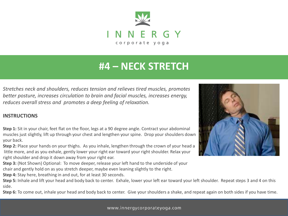

# **#4 – NECK STRETCH**

*Stretches neck and shoulders, reduces tension and relieves tired muscles, promotes better posture, increases circulation to brain and facial muscles, increases energy, reduces overall stress and promotes a deep feeling of relaxation.* 

#### **INSTRUCTIONS**

**Step 1:** Sit in your chair, feet flat on the floor, legs at a 90 degree angle. Contract your abdominal muscles just slightly, lift up through your chest and lengthen your spine. Drop your shoulders down your back.

**Step 2:** Place your hands on your thighs. As you inhale, lengthen through the crown of your head a little more, and as you exhale, gently lower your right ear toward your right shoulder. Relax your right shoulder and drop it down away from your right ear.

**Step 3:** (Not Shown) Optional: To move deeper, release your left hand to the underside of your chair and gently hold on as you stretch deeper, maybe even leaning slightly to the right.

**Step 4:** Stay here, breathing in and out, for at least 30 seconds.

Step 5: Inhale and lift your head and body back to center. Exhale, lower your left ear toward your left shoulder. Repeat steps 3 and 4 on this side.

**Step 6:** To come out, inhale your head and body back to center. Give your shoulders a shake, and repeat again on both sides if you have time.

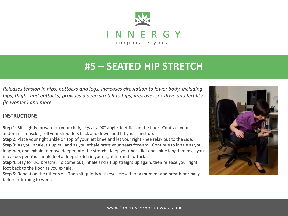

### **#5 – SEATED HIP STRETCH**

*Releases tension in hips, buttocks and legs, increases circulation to lower body, including hips, thighs and buttocks, provides a deep stretch to hips, improves sex drive and fertility (in women) and more.*

### **INSTRUCTIONS**

**Step 1:** Sit slightly forward on your chair, legs at a 90° angle, feet flat on the floor. Contract your abdominal muscles, roll your shoulders back and down, and lift your chest up.

**Step 2:** Place your right ankle on top of your left knee and let your right knee relax out to the side. **Step 3:** As you inhale, sit up tall and as you exhale press your heart forward. Continue to inhale as you lengthen, and exhale to move deeper into the stretch. Keep your back flat and spine lengthened as you move deeper. You should feel a deep stretch in your right hip and buttock.

**Step 4:** Stay for 3-5 breaths. To come out, inhale and sit up straight up again, then release your right foot back to the floor as you exhale.

**Step 5:** Repeat on the other side. Then sit quietly with eyes closed for a moment and breath normally before returning to work.

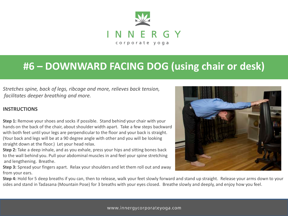

## **#6 – DOWNWARD FACING DOG (using chair or desk)**

*Stretches spine, back of legs, ribcage and more, relieves back tension, facilitates deeper breathing and more.* 

### **INSTRUCTIONS**

**Step 1:** Remove your shoes and socks if possible. Stand behind your chair with your hands on the back of the chair, about shoulder width apart. Take a few steps backward with both feet until your legs are perpendicular to the floor and your back is straight. (Your back and legs will be at a 90 degree angle with other and you will be looking straight down at the floor.) Let your head relax.

**Step 2:** Take a deep inhale, and as you exhale, press your hips and sitting bones back to the wall behind you. Pull your abdominal muscles in and feel your spine stretching and lengthening. Breathe.

**Step 3:** Spread your fingers apart. Relax your shoulders and let them roll out and away from your ears.



**Step 4:** Hold for 5 deep breaths if you can, then to release, walk your feet slowly forward and stand up straight. Release your arms down to your sides and stand in Tadasana (Mountain Pose) for 3 breaths with your eyes closed. Breathe slowly and deeply, and enjoy how you feel.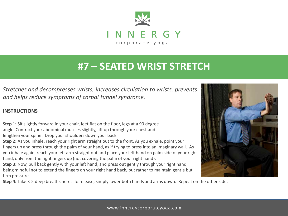

### **#7 – SEATED WRIST STRETCH**

*Stretches and decompresses wrists, increases circulation to wrists, prevents and helps reduce symptoms of carpal tunnel syndrome.* 

### **INSTRUCTIONS**

**Step 1:** Sit slightly forward in your chair, feet flat on the floor, legs at a 90 degree angle. Contract your abdominal muscles slightly, lift up through your chest and lengthen your spine. Drop your shoulders down your back.

**Step 2:** As you inhale, reach your right arm straight out to the front. As you exhale, point your fingers up and press through the palm of your hand, as if trying to press into an imaginary wall. As you inhale again, reach your left arm straight out and place your left hand on palm side of your right hand, only from the right fingers up (not covering the palm of your right hand).

**Step 3:** Now, pull back gently with your left hand, and press out gently through your right hand, being mindful not to extend the fingers on your right hand back, but rather to maintain gentle but firm pressure.

**Step 4:** Take 3-5 deep breaths here. To release, simply lower both hands and arms down. Repeat on the other side.

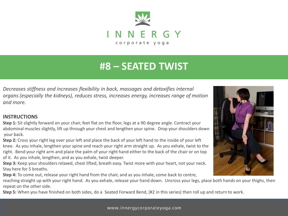

# **#8 – SEATED TWIST**

*Decreases stiffness and increases flexibility in back, massages and detoxifies internal organs (especially the kidneys), reduces stress, increases energy, increases range of motion and more.*

#### **INSTRUCTIONS**

**Step 1:** Sit slightly forward on your chair, feet flat on the floor, legs at a 90 degree angle. Contract your abdominal muscles slightly, lift up through your chest and lengthen your spine. Drop your shoulders down your back.

**Step 2:** Cross your right leg over your left and place the back of your left hand to the inside of your left knee. As you inhale, lengthen your spine and reach your right arm straight up. As you exhale, twist to the right. Bend your right arm and place the palm of your right hand either to the back of the chair or on top of it. As you inhale, lengthen, and as you exhale, twist deeper.

**Step 3:** Keep your shoulders relaxed, chest lifted, breath easy. Twist more with your heart, not your neck. Stay here for 5 breaths.

**Step 4:** To come out, release your right hand from the chair, and as you inhale, come back to centre,

reaching straight up with your right hand. As you exhale, release your hand down. Uncross your legs, place both hands on your thighs, then repeat on the other side.

**Step 5:** When you have finished on both sides, do a Seated Forward Bend, (#2 in this series) then roll up and return to work.

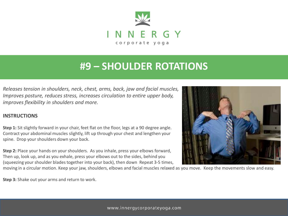

### **#9 – SHOULDER ROTATIONS**

*Releases tension in shoulders, neck, chest, arms, back, jaw and facial muscles, Improves posture, reduces stress, increases circulation to entire upper body, improves flexibility in shoulders and more.*

### **INSTRUCTIONS**

**Step 1:** Sit slightly forward in your chair, feet flat on the floor, legs at a 90 degree angle. Contract your abdominal muscles slightly, lift up through your chest and lengthen your spine. Drop your shoulders down your back.

**Step 2:** Place your hands on your shoulders. As you inhale, press your elbows forward, Then up, look up, and as you exhale, press your elbows out to the sides, behind you (squeezing your shoulder blades together into your back), then down Repeat 3-5 times,

moving in a circular motion. Keep your jaw, shoulders, elbows and facial muscles relaxed as you move. Keep the movements slow and easy.

**Step 3:** Shake out your arms and return to work.